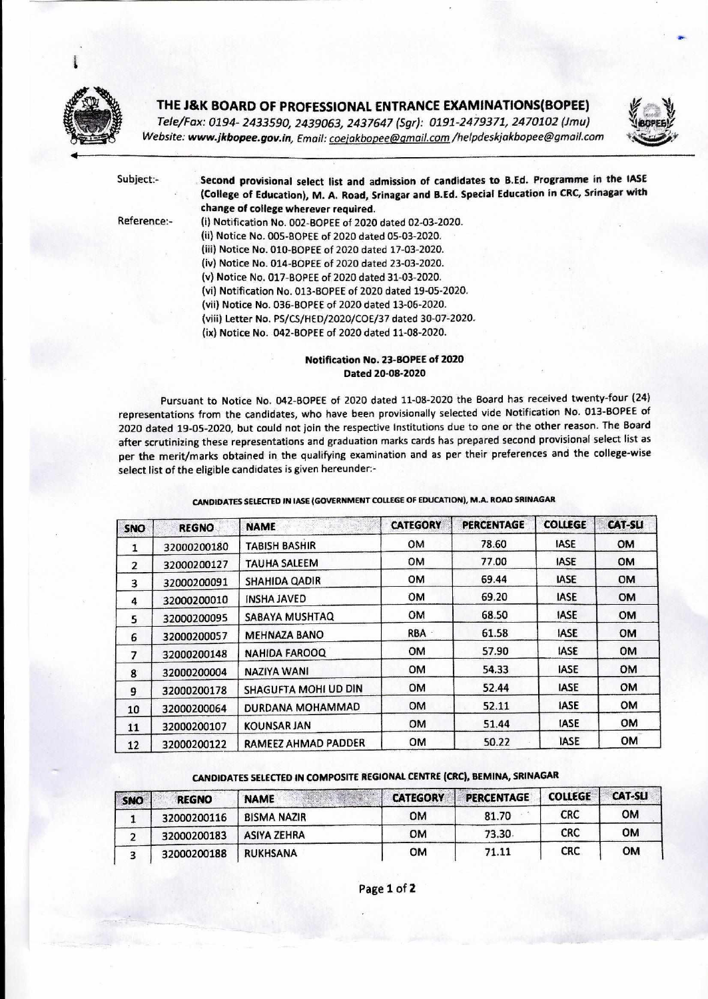

## **THE J&K BOARD OF PROFESSIONAL ENTRANCE EXAMINATIONS(BOPEE)**

*Tele/Fax: 0194- 2433590, 2439063, 2437647 (Sgt): 0191-2479371, 2470102 (lm) Website: www.jkbopee.gov.in, Email: coejakbopee@gmail.com* /helpdeskjakbopee@gmail.com



**Subject:- Second provisional select list and admission of candidates to B.Ed. Programme in the IASE (College of Education), M. A. Road, Srinagar and B.Ed. Special Education in CRC, Srinagar with change of college wherever required.**  Reference:- (i) Notification No. 002-BOPEE of 2020 dated 02-03-2020.

(ii) Notice No. 005-BOPEE of 2020 dated 05-03-2020. (iii) Notice No. 010-BOPEE of 2020 dated 17-03-2020. (iv) Notice No. 014-BOPEE of 2020 dated 23-03-2020. (v) Notice No. 017-BOPEE of 2020 dated 31-03-2020. (vi) Notification No. 013-BOPEE of 2020 dated 19-05-2020. (vii) Notice No. 036-BOPEE of 2020 dated 13-06-2020. (viii) Letter No. P5/CS/HED/2020/COE/37 dated 30-07-2020. (ix) Notice No. 042-BOPEE of 2020 dated 11-08-2020.

## **Notification No. 23-BOPEE of 2020 Dated 20-08-2020**

Pursuant to Notice No. 042-BOPEE of 2020 dated 11-08-2020 the Board has received twenty-four (24) representations from the candidates, who have been provisionally selected vide Notification No. 013-BOPEE of 2020 dated 19-05-202Q but could not join the respective Institutions due to one or the other reason. The Board after scrutinizing these representations and graduation marks cards has prepared second provisional select list as per the merit/marks obtained in the qualifying examination and as per their preferences and the college-wise select list of the eligible candidates is given hereunder:-

**CANDIDATES SELECTED IN IASE (GOVERNMENT COLLEGE OF EDUCATION), M.A. ROAD SRINAGAR** 

| SNO            | <b>REGNO</b> | <b>NAME</b>          | <b>CATEGORY</b> | <b>PERCENTAGE</b> | <b>COLLEGE</b> | <b>CAT-SLI</b> |
|----------------|--------------|----------------------|-----------------|-------------------|----------------|----------------|
| 1              | 32000200180  | <b>TABISH BASHIR</b> | OM              | 78.60             | <b>IASE</b>    | OM             |
| $\overline{2}$ | 32000200127  | TAUHA SALEEM         | <b>OM</b>       | 77.00             | <b>IASE</b>    | <b>OM</b>      |
| 3              | 32000200091  | <b>SHAHIDA QADIR</b> | OM              | 69.44             | <b>IASE</b>    | <b>OM</b>      |
| 4              | 32000200010  | <b>INSHA JAVED</b>   | <b>OM</b>       | 69.20             | <b>IASE</b>    | <b>OM</b>      |
| 5              | 32000200095  | SABAYA MUSHTAQ       | OM              | 68.50             | <b>IASE</b>    | <b>OM</b>      |
| 6              | 32000200057  | <b>MEHNAZA BANO</b>  | <b>RBA</b>      | 61.58             | <b>IASE</b>    | <b>OM</b>      |
| $\overline{z}$ | 32000200148  | <b>NAHIDA FAROOQ</b> | <b>OM</b>       | 57.90             | <b>IASE</b>    | <b>OM</b>      |
| 8              | 32000200004  | NAZIYA WANI          | <b>OM</b>       | 54.33             | <b>IASE</b>    | <b>OM</b>      |
| 9              | 32000200178  | SHAGUFTA MOHI UD DIN | <b>OM</b>       | 52.44             | <b>IASE</b>    | OM             |
| 10             | 32000200064  | DURDANA MOHAMMAD     | <b>OM</b>       | 52.11             | <b>IASE</b>    | <b>OM</b>      |
| 11             | 32000200107  | <b>KOUNSAR JAN</b>   | <b>OM</b>       | 51.44             | <b>IASE</b>    | <b>OM</b>      |
| 12             | 32000200122  | RAMEEZ AHMAD PADDER  | <b>OM</b>       | 50.22             | <b>IASE</b>    | <b>OM</b>      |

## **CANDIDATES SELECTED IN COMPOSITE REGIONAL CENTRE (CRC), BEMINA, SRINAGAR**

| SNO | <b>REGNO</b> | <b>NAME</b>        | <b>CATEGORY</b> | <b>PERCENTAGE</b> | <b>COLLEGE</b> | <b>CAT-SLI</b> |
|-----|--------------|--------------------|-----------------|-------------------|----------------|----------------|
|     | 32000200116  | <b>BISMA NAZIR</b> | OМ              | 81.70             | <b>CRC</b>     | <b>OM</b>      |
|     | 32000200183  | <b>ASIYA ZEHRA</b> | <b>OM</b>       | 73.30             | <b>CRC</b>     | <b>OM</b>      |
|     | 32000200188  | <b>RUKHSANA</b>    | ом              | 71.11             | <b>CRC</b>     | <b>OM</b>      |

Page 1 of 2